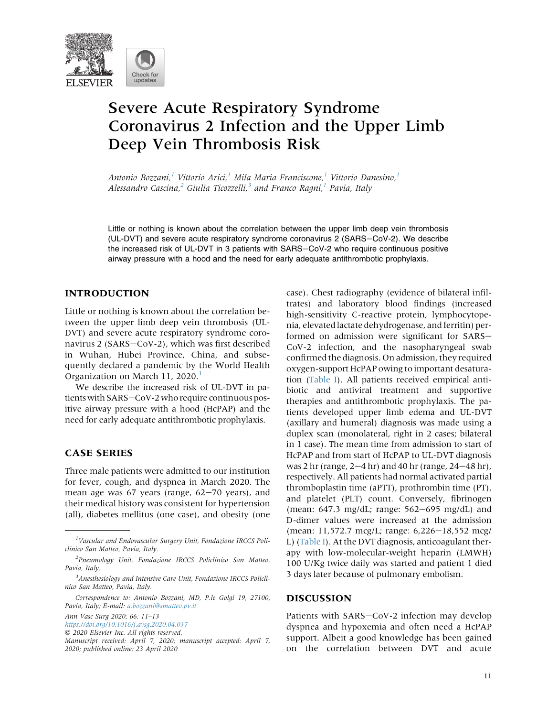

# Severe Acute Respiratory Syndrome Coronavirus 2 Infection and the Upper Limb Deep Vein Thrombosis Risk

Antonio Bozzani,<sup>[1](#page-0-0)</sup> Vittorio Arici,<sup>1</sup> Mila Maria Franciscone,<sup>1</sup> Vittorio Danesino,<sup>1</sup> Alessandro Cascina, <sup>[2](#page-0-1)</sup> Giulia Ticozzelli, <sup>[3](#page-0-2)</sup> and Franco Ragni, <sup>[1](#page-0-0)</sup> Pavia, Italy

Little or nothing is known about the correlation between the upper limb deep vein thrombosis (UL-DVT) and severe acute respiratory syndrome coronavirus 2 (SARS-CoV-2). We describe the increased risk of UL-DVT in 3 patients with SARS-CoV-2 who require continuous positive airway pressure with a hood and the need for early adequate antithrombotic prophylaxis.

## INTRODUCTION

Little or nothing is known about the correlation between the upper limb deep vein thrombosis (UL-DVT) and severe acute respiratory syndrome coronavirus 2 (SARS-CoV-2), which was first described in Wuhan, Hubei Province, China, and subsequently declared a pandemic by the World Health Organization on March [1](#page-2-0)1, 2020.<sup>1</sup>

We describe the increased risk of UL-DVT in patients with SARS-CoV-2 who require continuous positive airway pressure with a hood (HcPAP) and the need for early adequate antithrombotic prophylaxis.

## CASE SERIES

Three male patients were admitted to our institution for fever, cough, and dyspnea in March 2020. The mean age was  $67$  years (range,  $62-70$  years), and their medical history was consistent for hypertension (all), diabetes mellitus (one case), and obesity (one

Ann Vasc Surg 2020; 66: 11–13

case). Chest radiography (evidence of bilateral infiltrates) and laboratory blood findings (increased high-sensitivity C-reactive protein, lymphocytopenia, elevated lactate dehydrogenase, and ferritin) performed on admission were significant for SARS-CoV-2 infection, and the nasopharyngeal swab confirmed the diagnosis. On admission, they required oxygen-support HcPAP owing to important desaturation [\(Table I\)](#page-1-0). All patients received empirical antibiotic and antiviral treatment and supportive therapies and antithrombotic prophylaxis. The patients developed upper limb edema and UL-DVT (axillary and humeral) diagnosis was made using a duplex scan (monolateral, right in 2 cases; bilateral in 1 case). The mean time from admission to start of HcPAP and from start of HcPAP to UL-DVT diagnosis was 2 hr (range,  $2-4$  hr) and 40 hr (range,  $24-48$  hr), respectively. All patients had normal activated partial thromboplastin time (aPTT), prothrombin time (PT), and platelet (PLT) count. Conversely, fibrinogen (mean:  $647.3$  mg/dL; range:  $562-695$  mg/dL) and D-dimer values were increased at the admission (mean: 11,572.7 mcg/L; range: 6,226–18,552 mcg/ L) ([Table I\)](#page-1-0). At the DVT diagnosis, anticoagulant therapy with low-molecular-weight heparin (LMWH) 100 U/Kg twice daily was started and patient 1 died 3 days later because of pulmonary embolism.

### DISCUSSION

Patients with SARS-CoV-2 infection may develop dyspnea and hypoxemia and often need a HcPAP support. Albeit a good knowledge has been gained on the correlation between DVT and acute

<span id="page-0-0"></span><sup>&</sup>lt;sup>1</sup>Vascular and Endovascular Surgery Unit, Fondazione IRCCS Policlinico San Matteo, Pavia, Italy.

<span id="page-0-1"></span><sup>2</sup> Pneumology Unit, Fondazione IRCCS Policlinico San Matteo, Pavia, Italy.

<span id="page-0-2"></span><sup>&</sup>lt;sup>3</sup> Anesthesiology and Intensive Care Unit, Fondazione IRCCS Policlinico San Matteo, Pavia, Italy.

Correspondence to: Antonio Bozzani, MD, P.le Golgi 19, 27100, Pavia, Italy; E-mail: [a.bozzani@smatteo.pv.it](mailto:a.bozzani@smatteo.pv.it)

<https://doi.org/10.1016/j.avsg.2020.04.037>

2020 Elsevier Inc. All rights reserved.

Manuscript received: April 7, 2020; manuscript accepted: April 7, 2020; published online: 23 April 2020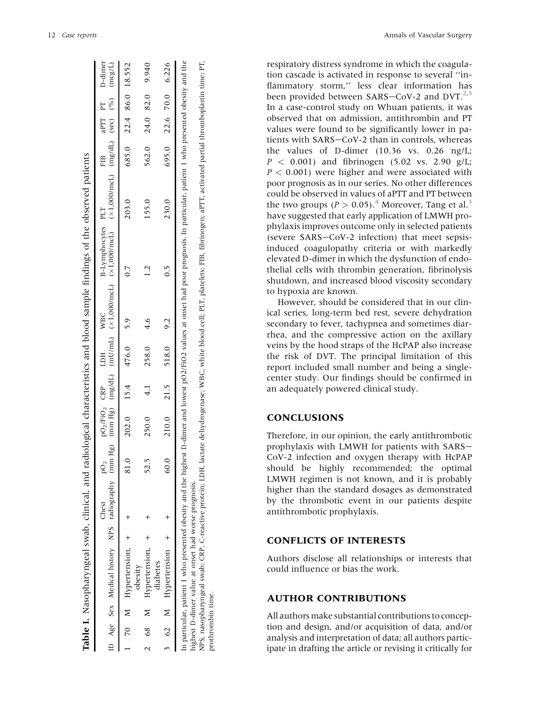<span id="page-1-0"></span>

| aPTT PT D-dimer<br>(mgraphy tmm Hg) (mm Hg) (mm Hg) (mm Hg) (mg/dL) (x1,000/mcL) (x1,000/mcL) (x1,0000mcL) (mg/dL) (sec) (%) (mg/L)<br>24.0 82.0 9.940<br>695.0 22.6 70.0 6.226<br>685.0 22.4 86.0 18.552<br>562.0<br>FIB<br>230.0<br>203.0<br>155.0<br>B-Lymphocytes PLT<br>0.5<br>pO <sub>2</sub> /FiO <sub>2</sub> CRP LDH WBC<br>$210.0$ $21.5$ $518.0$ $9.2$<br>$202.0$ 15.4 $476.0$ 5.9<br>4.6<br>258.0<br>250.0<br>$\mathbf{C}$<br>$\overline{P}O_2$<br>99<br>Chest<br>70 M Hypertension, +<br>62 M Hypertension +<br>68 M Hypertension, +<br>diabetes<br>obesity |  | Table I. Nasopharyngeal swab, clinical, and radiological characteristics and blood sample findings of the observed patients |  |  |  |  |  |  |  |
|--------------------------------------------------------------------------------------------------------------------------------------------------------------------------------------------------------------------------------------------------------------------------------------------------------------------------------------------------------------------------------------------------------------------------------------------------------------------------------------------------------------------------------------------------------------------------|--|-----------------------------------------------------------------------------------------------------------------------------|--|--|--|--|--|--|--|
|                                                                                                                                                                                                                                                                                                                                                                                                                                                                                                                                                                          |  |                                                                                                                             |  |  |  |  |  |  |  |
|                                                                                                                                                                                                                                                                                                                                                                                                                                                                                                                                                                          |  |                                                                                                                             |  |  |  |  |  |  |  |
| NPS, nasopharyngeal swab; CRP, C-reactive protein; LDH, lactate dehydrogenase; WBC, white blood cell; PLT, platelets; FIB, fibrinogen; aPTT, activated partial thromboplastin time; PT,<br>In particular, patient 1 who presented obesity and the highest D-dimer and lowest pO2/FiO2 values at onset had poor prognosis. In particular, patient 1 who presented obesity and the<br>highest D-dimer value at onset had worse prognosis.                                                                                                                                  |  |                                                                                                                             |  |  |  |  |  |  |  |
|                                                                                                                                                                                                                                                                                                                                                                                                                                                                                                                                                                          |  |                                                                                                                             |  |  |  |  |  |  |  |
| prothrombin time.                                                                                                                                                                                                                                                                                                                                                                                                                                                                                                                                                        |  |                                                                                                                             |  |  |  |  |  |  |  |

respiratory distress syndrome in which the coagulation cascade is activated in response to several ''inflammatory storm,'' less clear information has been provided between SARS-CoV-[2](#page-2-1) and DVT.<sup>2,[3](#page-2-2)</sup> In a case-control study on Whuan patients, it was observed that on admission, antithrombin and PT values were found to be significantly lower in patients with SARS-CoV-2 than in controls, whereas the values of D-dimer (10.36 vs. 0.26 ng/L;  $P < 0.001$ ) and fibrinogen (5.02 vs. 2.90 g/L;  $P < 0.001$ ) were higher and were associated with poor prognosis as in our series. No other differences could be observed in values of aPTT and PT between the two groups ( $P > 0.05$  $P > 0.05$ ).<sup>[4](#page-2-3)</sup> Moreover, Tang et al.<sup>5</sup> have suggested that early application of LMWH prophylaxis improves outcome only in selected patients (severe SARS-CoV-2 infection) that meet sepsisinduced coagulopathy criteria or with markedly elevated D-dimer in which the dysfunction of endothelial cells with thrombin generation, fibrinolysis shutdown, and increased blood viscosity secondary to hypoxia are known.

However, should be considered that in our clinical series, long-term bed rest, severe dehydration secondary to fever, tachypnea and sometimes diarrhea, and the compressive action on the axillary veins by the hood straps of the HcPAP also increase the risk of DVT. The principal limitation of this report included small number and being a singlecenter study. Our findings should be confirmed in an adequately powered clinical study.

## **CONCLUSIONS**

Therefore, in our opinion, the early antithrombotic prophylaxis with LMWH for patients with SARS-CoV-2 infection and oxygen therapy with HcPAP should be highly recommended; the optimal LMWH regimen is not known, and it is probably higher than the standard dosages as demonstrated by the thrombotic event in our patients despite antithrombotic prophylaxis.

## CONFLICTS OF INTERESTS

Authors disclose all relationships or interests that could influence or bias the work.

## AUTHOR CONTRIBUTIONS

All authors make substantial contributions to conception and design, and/or acquisition of data, and/or analysis and interpretation of data; all authors participate in drafting the article or revising it critically for